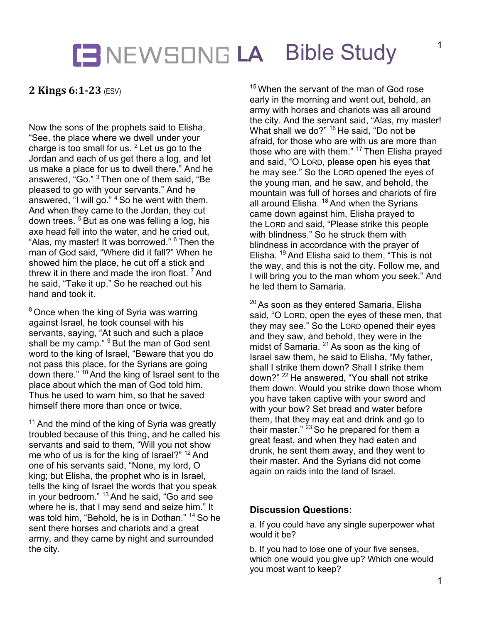## **LA** Bible Study

**2 Kings 6:1-23** (ESV)

Now the sons of the prophets said to Elisha, "See, the place where we dwell under your charge is too small for us.  $2$  Let us go to the Jordan and each of us get there a log, and let us make a place for us to dwell there." And he answered, "Go." <sup>3</sup> Then one of them said, "Be pleased to go with your servants." And he answered, "I will go." <sup>4</sup> So he went with them. And when they came to the Jordan, they cut down trees. <sup>5</sup> But as one was felling a log, his axe head fell into the water, and he cried out, "Alas, my master! It was borrowed." <sup>6</sup> Then the man of God said, "Where did it fall?" When he showed him the place, he cut off a stick and threw it in there and made the iron float.  $7$  And he said, "Take it up." So he reached out his hand and took it.

 $8$  Once when the king of Syria was warring against Israel, he took counsel with his servants, saying, "At such and such a place shall be my camp." <sup>9</sup> But the man of God sent word to the king of Israel, "Beware that you do not pass this place, for the Syrians are going down there." <sup>10</sup> And the king of Israel sent to the place about which the man of God told him. Thus he used to warn him, so that he saved himself there more than once or twice.

 $11$  And the mind of the king of Syria was greatly troubled because of this thing, and he called his servants and said to them, "Will you not show me who of us is for the king of Israel?" <sup>12</sup> And one of his servants said, "None, my lord, O king; but Elisha, the prophet who is in Israel, tells the king of Israel the words that you speak in your bedroom." <sup>13</sup> And he said, "Go and see where he is, that I may send and seize him." It was told him, "Behold, he is in Dothan." <sup>14</sup> So he sent there horses and chariots and a great army, and they came by night and surrounded the city.

 $15$  When the servant of the man of God rose early in the morning and went out, behold, an army with horses and chariots was all around the city. And the servant said, "Alas, my master! What shall we do?" <sup>16</sup> He said, "Do not be afraid, for those who are with us are more than those who are with them." <sup>17</sup> Then Elisha prayed and said, "O LORD, please open his eyes that he may see." So the LORD opened the eyes of the young man, and he saw, and behold, the mountain was full of horses and chariots of fire all around Elisha. <sup>18</sup> And when the Syrians came down against him, Elisha prayed to the LORD and said, "Please strike this people with blindness." So he struck them with blindness in accordance with the prayer of Elisha. <sup>19</sup> And Elisha said to them, "This is not the way, and this is not the city. Follow me, and I will bring you to the man whom you seek." And he led them to Samaria.

<sup>20</sup> As soon as they entered Samaria, Elisha said, "O LORD, open the eyes of these men, that they may see." So the LORD opened their eyes and they saw, and behold, they were in the midst of Samaria.  $21$  As soon as the king of Israel saw them, he said to Elisha, "My father, shall I strike them down? Shall I strike them down?" <sup>22</sup> He answered, "You shall not strike them down. Would you strike down those whom you have taken captive with your sword and with your bow? Set bread and water before them, that they may eat and drink and go to their master."  $23$  So he prepared for them a great feast, and when they had eaten and drunk, he sent them away, and they went to their master. And the Syrians did not come again on raids into the land of Israel.

#### **Discussion Questions:**

a. If you could have any single superpower what would it be?

b. If you had to lose one of your five senses, which one would you give up? Which one would you most want to keep?